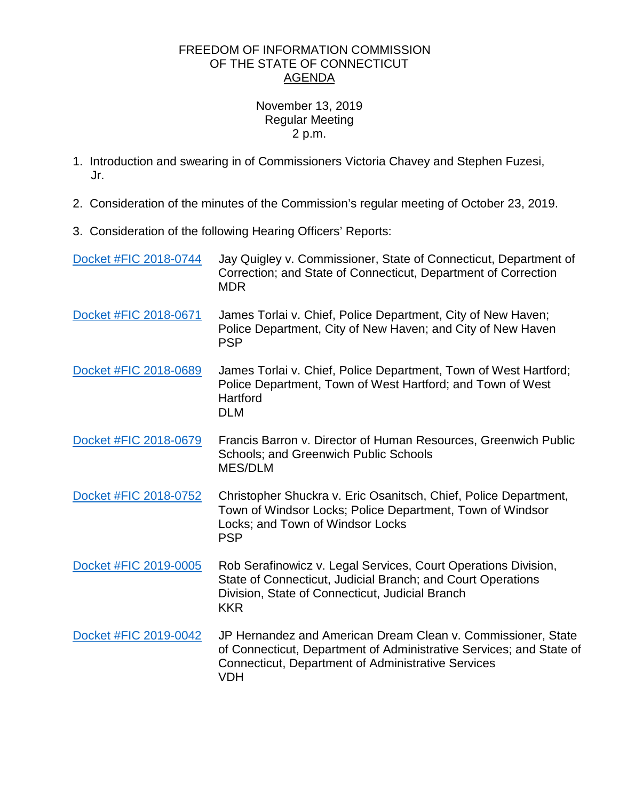## FREEDOM OF INFORMATION COMMISSION OF THE STATE OF CONNECTICUT AGENDA

## November 13, 2019 Regular Meeting 2 p.m.

- 1. Introduction and swearing in of Commissioners Victoria Chavey and Stephen Fuzesi, Jr.
- 2. Consideration of the minutes of the Commission's regular meeting of October 23, 2019.
- 3. Consideration of the following Hearing Officers' Reports:

| Docket #FIC 2018-0744 | Jay Quigley v. Commissioner, State of Connecticut, Department of<br>Correction; and State of Connecticut, Department of Correction<br><b>MDR</b>                                                               |
|-----------------------|----------------------------------------------------------------------------------------------------------------------------------------------------------------------------------------------------------------|
| Docket #FIC 2018-0671 | James Torlai v. Chief, Police Department, City of New Haven;<br>Police Department, City of New Haven; and City of New Haven<br><b>PSP</b>                                                                      |
| Docket #FIC 2018-0689 | James Torlai v. Chief, Police Department, Town of West Hartford;<br>Police Department, Town of West Hartford; and Town of West<br>Hartford<br><b>DLM</b>                                                       |
| Docket #FIC 2018-0679 | Francis Barron v. Director of Human Resources, Greenwich Public<br>Schools; and Greenwich Public Schools<br><b>MES/DLM</b>                                                                                     |
| Docket #FIC 2018-0752 | Christopher Shuckra v. Eric Osanitsch, Chief, Police Department,<br>Town of Windsor Locks; Police Department, Town of Windsor<br>Locks; and Town of Windsor Locks<br><b>PSP</b>                                |
| Docket #FIC 2019-0005 | Rob Serafinowicz v. Legal Services, Court Operations Division,<br>State of Connecticut, Judicial Branch; and Court Operations<br>Division, State of Connecticut, Judicial Branch<br><b>KKR</b>                 |
| Docket #FIC 2019-0042 | JP Hernandez and American Dream Clean v. Commissioner, State<br>of Connecticut, Department of Administrative Services; and State of<br><b>Connecticut, Department of Administrative Services</b><br><b>VDH</b> |